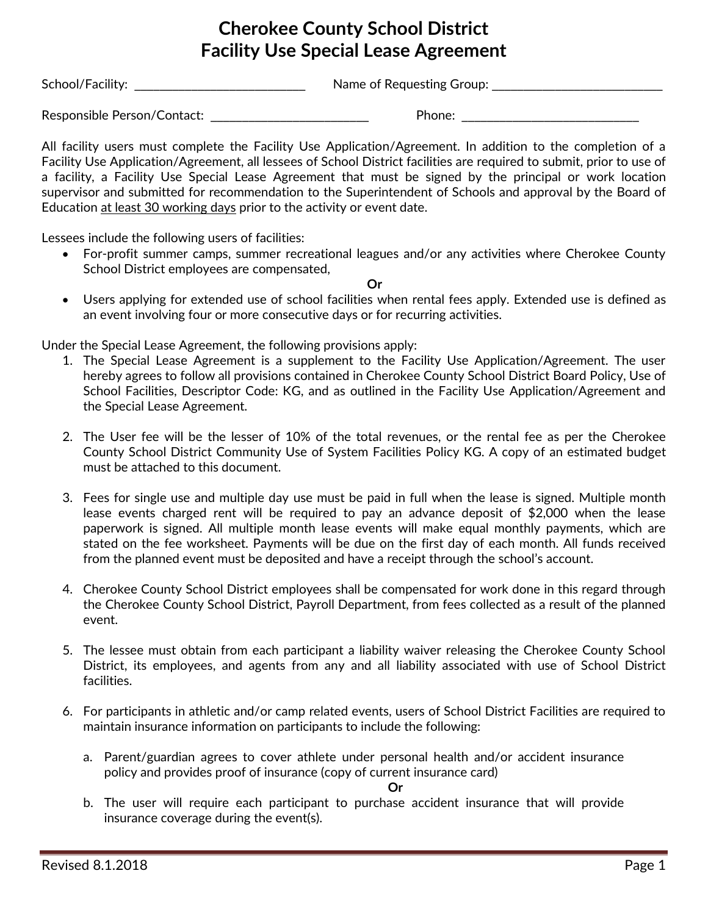## **Cherokee County School District Facility Use Special Lease Agreement**

School/Facility: \_\_\_\_\_\_\_\_\_\_\_\_\_\_\_\_\_\_\_\_\_\_\_\_\_\_\_ Name of Requesting Group: \_\_\_\_\_\_\_\_\_\_\_\_\_\_\_\_\_\_\_\_\_\_\_\_\_\_\_

Responsible Person/Contact:  $\blacksquare$ 

All facility users must complete the Facility Use Application/Agreement. In addition to the completion of a Facility Use Application/Agreement, all lessees of School District facilities are required to submit, prior to use of a facility, a Facility Use Special Lease Agreement that must be signed by the principal or work location supervisor and submitted for recommendation to the Superintendent of Schools and approval by the Board of Education at least 30 working days prior to the activity or event date.

Lessees include the following users of facilities:

• For-profit summer camps, summer recreational leagues and/or any activities where Cherokee County School District employees are compensated,

**Or**

• Users applying for extended use of school facilities when rental fees apply. Extended use is defined as an event involving four or more consecutive days or for recurring activities.

Under the Special Lease Agreement, the following provisions apply:

- 1. The Special Lease Agreement is a supplement to the Facility Use Application/Agreement. The user hereby agrees to follow all provisions contained in Cherokee County School District Board Policy, Use of School Facilities, Descriptor Code: KG, and as outlined in the Facility Use Application/Agreement and the Special Lease Agreement.
- 2. The User fee will be the lesser of 10% of the total revenues, or the rental fee as per the Cherokee County School District Community Use of System Facilities Policy KG. A copy of an estimated budget must be attached to this document.
- 3. Fees for single use and multiple day use must be paid in full when the lease is signed. Multiple month lease events charged rent will be required to pay an advance deposit of \$2,000 when the lease paperwork is signed. All multiple month lease events will make equal monthly payments, which are stated on the fee worksheet. Payments will be due on the first day of each month. All funds received from the planned event must be deposited and have a receipt through the school's account.
- 4. Cherokee County School District employees shall be compensated for work done in this regard through the Cherokee County School District, Payroll Department, from fees collected as a result of the planned event.
- 5. The lessee must obtain from each participant a liability waiver releasing the Cherokee County School District, its employees, and agents from any and all liability associated with use of School District facilities.
- 6. For participants in athletic and/or camp related events, users of School District Facilities are required to maintain insurance information on participants to include the following:
	- a. Parent/guardian agrees to cover athlete under personal health and/or accident insurance policy and provides proof of insurance (copy of current insurance card)

**Or**

b. The user will require each participant to purchase accident insurance that will provide insurance coverage during the event(s).